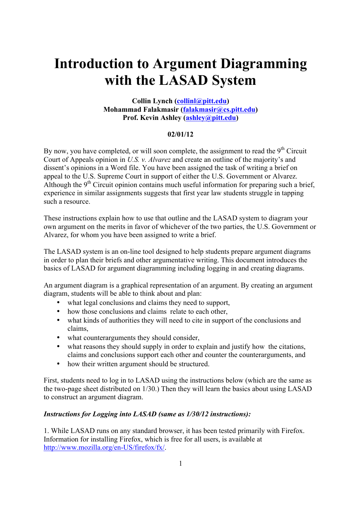# **Introduction to Argument Diagramming with the LASAD System**

## **Collin Lynch (collinl@pitt.edu) Mohammad Falakmasir (falakmasir@cs.pitt.edu) Prof. Kevin Ashley (ashley@pitt.edu)**

# **02/01/12**

By now, you have completed, or will soon complete, the assignment to read the  $9<sup>th</sup>$  Circuit Court of Appeals opinion in *U.S. v. Alvarez* and create an outline of the majority's and dissent's opinions in a Word file. You have been assigned the task of writing a brief on appeal to the U.S. Supreme Court in support of either the U.S. Government or Alvarez. Although the  $9<sup>th</sup>$  Circuit opinion contains much useful information for preparing such a brief, experience in similar assignments suggests that first year law students struggle in tapping such a resource.

These instructions explain how to use that outline and the LASAD system to diagram your own argument on the merits in favor of whichever of the two parties, the U.S. Government or Alvarez, for whom you have been assigned to write a brief.

The LASAD system is an on-line tool designed to help students prepare argument diagrams in order to plan their briefs and other argumentative writing. This document introduces the basics of LASAD for argument diagramming including logging in and creating diagrams.

An argument diagram is a graphical representation of an argument. By creating an argument diagram, students will be able to think about and plan:

- what legal conclusions and claims they need to support,
- how those conclusions and claims relate to each other,
- what kinds of authorities they will need to cite in support of the conclusions and claims,
- what counterarguments they should consider,
- what reasons they should supply in order to explain and justify how the citations, claims and conclusions support each other and counter the counterarguments, and
- how their written argument should be structured.

First, students need to log in to LASAD using the instructions below (which are the same as the two-page sheet distributed on 1/30.) Then they will learn the basics about using LASAD to construct an argument diagram.

# *Instructions for Logging into LASAD (same as 1/30/12 instructions):*

1. While LASAD runs on any standard browser, it has been tested primarily with Firefox. Information for installing Firefox, which is free for all users, is available at http://www.mozilla.org/en-US/firefox/fx/.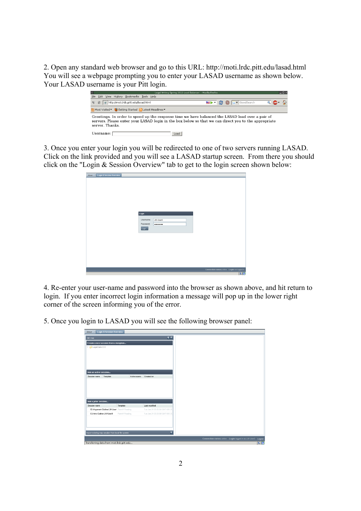2. Open any standard web browser and go to this URL: http://moti.lrdc.pitt.edu/lasad.html You will see a webpage prompting you to enter your LASAD username as shown below. Your LASAD username is your Pitt login.



3. Once you enter your login you will be redirected to one of two servers running LASAD. Click on the link provided and you will see a LASAD startup screen. From there you should click on the "Login & Session Overview" tab to get to the login screen shown below:

| About <sup>22</sup> Login & Session Overview |           |          |                                                |    |
|----------------------------------------------|-----------|----------|------------------------------------------------|----|
|                                              |           |          |                                                |    |
|                                              |           |          |                                                |    |
|                                              |           |          |                                                |    |
|                                              |           |          |                                                |    |
|                                              |           |          |                                                |    |
|                                              |           |          |                                                |    |
|                                              | Login     |          |                                                |    |
|                                              | Username: | LW-User0 |                                                |    |
|                                              | Password: |          |                                                |    |
|                                              | Login     |          |                                                |    |
|                                              |           |          |                                                |    |
|                                              |           |          |                                                |    |
|                                              |           |          |                                                |    |
|                                              |           |          |                                                |    |
|                                              |           |          |                                                |    |
|                                              |           |          |                                                |    |
|                                              |           |          |                                                |    |
|                                              |           |          | Connection status: online Login: not logged in |    |
|                                              |           |          |                                                | 50 |

4. Re-enter your user-name and password into the browser as shown above, and hit return to login. If you enter incorrect login information a message will pop up in the lower right corner of the screen informing you of the error.

5. Once you login to LASAD you will see the following browser panel:

| About X Login & Session Overview                   |                    |                                |
|----------------------------------------------------|--------------------|--------------------------------|
| Join map                                           |                    | $\overline{r}$ $\overline{r}$  |
| Create a new session from a template               |                    |                                |
| LegalClaim-CCC                                     |                    |                                |
|                                                    |                    |                                |
|                                                    |                    |                                |
|                                                    |                    |                                |
|                                                    |                    |                                |
|                                                    |                    |                                |
| Join an active session                             |                    |                                |
| Template<br>Session name                           | Active users       | Created on                     |
|                                                    |                    |                                |
|                                                    |                    |                                |
|                                                    |                    |                                |
|                                                    |                    |                                |
|                                                    |                    |                                |
|                                                    |                    |                                |
| Join a prior session                               |                    |                                |
| Session name                                       | Template           | Last modified                  |
| 02-Argument-Outline-LW-Useri Plaintiff Reading.    |                    | Tue Jan 24 20:25:56 GMT-500 20 |
| 01-Intro-Outline-LW-User0                          | Plaintiff Reading. | Tue Jan 24 20:25 58 GMT-500 20 |
|                                                    |                    |                                |
|                                                    |                    |                                |
|                                                    |                    |                                |
| Import existing map session from local file system |                    | 匡                              |
|                                                    |                    |                                |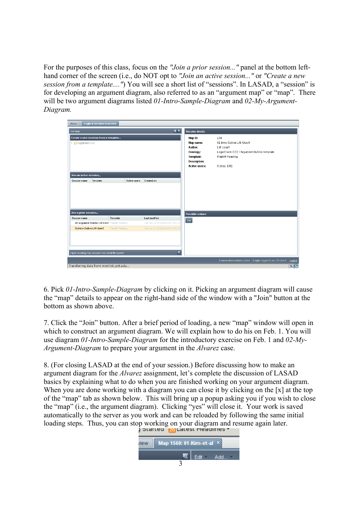For the purposes of this class, focus on the *"Join a prior session..."* panel at the bottom lefthand corner of the screen (i.e., do NOT opt to *"Join an active session..."* or *"Create a new session from a template...."*) You will see a short list of "sessions". In LASAD, a "session" is for developing an argument diagram, also referred to as an "argument map" or "map". There will be two argument diagrams listed *01-Intro-Sample-Diagram* and *02-My-Argument-Diagram.*

| About <sup>8</sup> Login & Session Overview                                     |                    |                                     |                                                                                                                        |                                                                                                                                  |                                                         |        |
|---------------------------------------------------------------------------------|--------------------|-------------------------------------|------------------------------------------------------------------------------------------------------------------------|----------------------------------------------------------------------------------------------------------------------------------|---------------------------------------------------------|--------|
| Join map                                                                        |                    | $\overline{e}$ $\Gamma$             | <b>Session details</b>                                                                                                 |                                                                                                                                  |                                                         |        |
| Create a new session from a template<br>LegalClaim-CCC                          |                    |                                     | Map ID:<br>Map name:<br>Author:<br><b>Ontology:</b><br><b>Template:</b><br><b>Description:</b><br><b>Active users:</b> | 138<br>01-Intro-Outline-LW-User0<br>LW-User0<br>LegalClaim-CCC / Argument-Outline-template<br>Plaintiff Reading.<br>0 (max. 100) |                                                         |        |
| Join an active session                                                          |                    |                                     |                                                                                                                        |                                                                                                                                  |                                                         |        |
| Session name<br>Template                                                        | Active users       | Created on                          |                                                                                                                        |                                                                                                                                  |                                                         |        |
| Join a prior session                                                            |                    |                                     | <b>Possible actions</b>                                                                                                |                                                                                                                                  |                                                         |        |
| Session name                                                                    | Template           | Last modified                       | Join                                                                                                                   |                                                                                                                                  |                                                         |        |
| 02-Argument-Outline-LW-Userl Plaintiff Reading.                                 |                    | Tue Jan 24 20:25:56 GMT-500 20      |                                                                                                                        |                                                                                                                                  |                                                         |        |
| 01-Intro-Outline-LW-User0<br>Import existing map session from local file system | Plaintiff Reading. | Tue Jan 24 20:25:58 GMT-500 20<br>匡 |                                                                                                                        |                                                                                                                                  |                                                         |        |
|                                                                                 |                    |                                     |                                                                                                                        |                                                                                                                                  | Connection status: online  Login: logged in as LW-User0 | Logout |
| Transferring data from moti.lrdc.pitt.edu                                       |                    |                                     |                                                                                                                        |                                                                                                                                  |                                                         | 50     |

6. Pick *01-Intro-Sample-Diagram* by clicking on it. Picking an argument diagram will cause the "map" details to appear on the right-hand side of the window with a "Join" button at the bottom as shown above.

7. Click the "Join" button. After a brief period of loading, a new "map" window will open in which to construct an argument diagram. We will explain how to do his on Feb. 1. You will use diagram *01-Intro-Sample-Diagram* for the introductory exercise on Feb. 1 and *02-My-Argument-Diagram* to prepare your argument in the *Alvarez* case.

8. (For closing LASAD at the end of your session.) Before discussing how to make an argument diagram for the *Alvarez* assignment, let's complete the discussion of LASAD basics by explaining what to do when you are finished working on your argument diagram. When you are done working with a diagram you can close it by clicking on the [x] at the top of the "map" tab as shown below. This will bring up a popup asking you if you wish to close the "map" (i.e., the argument diagram). Clicking "yes" will close it. Your work is saved automatically to the server as you work and can be reloaded by following the same initial loading steps. Thus, you can stop working on your diagram and resume again later.

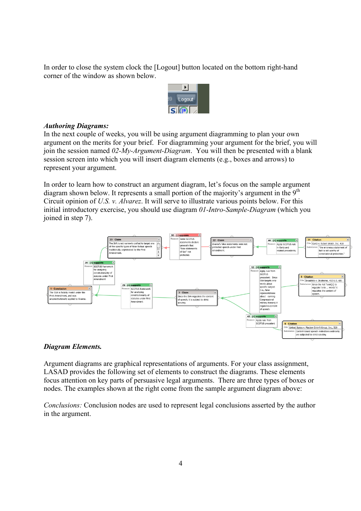In order to close the system clock the [Logout] button located on the bottom right-hand corner of the window as shown below.



#### *Authoring Diagrams:*

In the next couple of weeks, you will be using argument diagramming to plan your own argument on the merits for your brief. For diagramming your argument for the brief, you will join the session named *02-My-Argument-Diagram*. You will then be presented with a blank session screen into which you will insert diagram elements (e.g., boxes and arrows) to represent your argument.

In order to learn how to construct an argument diagram, let's focus on the sample argument diagram shown below. It represents a small portion of the majority's argument in the  $9<sup>th</sup>$ Circuit opinion of *U.S. v. Alvarez*. It will serve to illustrate various points below. For this initial introductory exercise, you should use diagram *01-Intro-Sample-Diagram* (which you joined in step 7).



#### *Diagram Elements.*

Argument diagrams are graphical representations of arguments. For your class assignment, LASAD provides the following set of elements to construct the diagrams. These elements focus attention on key parts of persuasive legal arguments. There are three types of boxes or nodes. The examples shown at the right come from the sample argument diagram above:

*Conclusions:* Conclusion nodes are used to represent legal conclusions asserted by the author in the argument.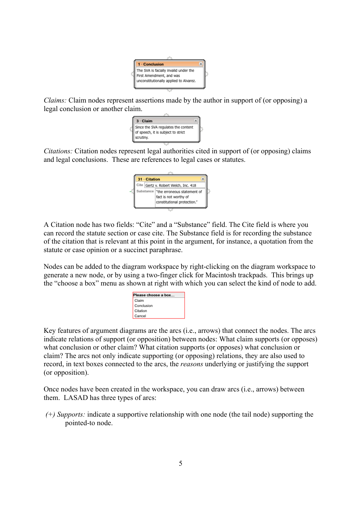

*Claims:* Claim nodes represent assertions made by the author in support of (or opposing) a legal conclusion or another claim.



*Citations:* Citation nodes represent legal authorities cited in support of (or opposing) claims and legal conclusions. These are references to legal cases or statutes.



A Citation node has two fields: "Cite" and a "Substance" field. The Cite field is where you can record the statute section or case cite. The Substance field is for recording the substance of the citation that is relevant at this point in the argument, for instance, a quotation from the statute or case opinion or a succinct paraphrase.

Nodes can be added to the diagram workspace by right-clicking on the diagram workspace to generate a new node, or by using a two-finger click for Macintosh trackpads. This brings up the "choose a box" menu as shown at right with which you can select the kind of node to add.



Key features of argument diagrams are the arcs (i.e., arrows) that connect the nodes. The arcs indicate relations of support (or opposition) between nodes: What claim supports (or opposes) what conclusion or other claim? What citation supports (or opposes) what conclusion or claim? The arcs not only indicate supporting (or opposing) relations, they are also used to record, in text boxes connected to the arcs, the *reasons* underlying or justifying the support (or opposition).

Once nodes have been created in the workspace, you can draw arcs (i.e., arrows) between them. LASAD has three types of arcs:

*(+) Supports:* indicate a supportive relationship with one node (the tail node) supporting the pointed-to node.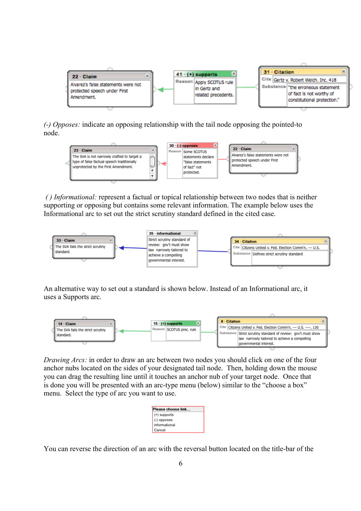

*(-) Opposes:* indicate an opposing relationship with the tail node opposing the pointed-to node.



*( ) Informational:* represent a factual or topical relationship between two nodes that is neither supporting or opposing but contains some relevant information. The example below uses the Informational arc to set out the strict scrutiny standard defined in the cited case.



An alternative way to set out a standard is shown below. Instead of an Informational arc, it uses a Supports arc.



*Drawing Arcs:* in order to draw an arc between two nodes you should click on one of the four anchor nubs located on the sides of your designated tail node. Then, holding down the mouse you can drag the resulting line until it touches an anchor nub of your target node. Once that is done you will be presented with an arc-type menu (below) similar to the "choose a box" menu. Select the type of arc you want to use.

| Please choose link |  |
|--------------------|--|
| (+) supports       |  |
| (-) opposes        |  |
| informational      |  |
| Cancel             |  |

You can reverse the direction of an arc with the reversal button located on the title-bar of the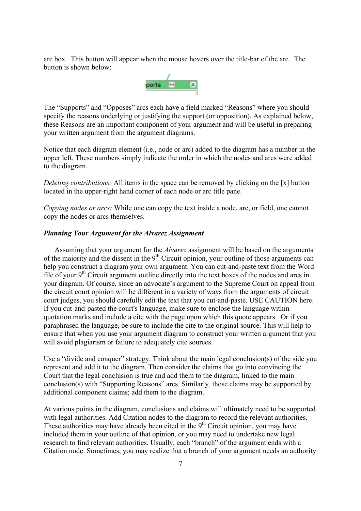arc box. This button will appear when the mouse hovers over the title-bar of the arc. The button is shown below:



The "Supports" and "Opposes" arcs each have a field marked "Reasons" where you should specify the reasons underlying or justifying the support (or opposition). As explained below, these Reasons are an important component of your argument and will be useful in preparing your written argument from the argument diagrams.

Notice that each diagram element (i.e., node or arc) added to the diagram has a number in the upper left. These numbers simply indicate the order in which the nodes and arcs were added to the diagram.

*Deleting contributions:* All items in the space can be removed by clicking on the [x] button located in the upper-right hand corner of each node or arc title pane.

*Copying nodes or arcs:* While one can copy the text inside a node, arc, or field, one cannot copy the nodes or arcs themselves.

#### *Planning Your Argument for the Alvarez Assignment*

Assuming that your argument for the *Alvarez* assignment will be based on the arguments of the majority and the dissent in the  $9<sup>th</sup>$  Circuit opinion, your outline of those arguments can help you construct a diagram your own argument. You can cut-and-paste text from the Word file of your  $9<sup>th</sup>$  Circuit argument outline directly into the text boxes of the nodes and arcs in your diagram. Of course, since an advocate's argument to the Supreme Court on appeal from the circuit court opinion will be different in a variety of ways from the arguments of circuit court judges, you should carefully edit the text that you cut-and-paste. USE CAUTION here. If you cut-and-pasted the court's language, make sure to enclose the language within quotation marks and include a cite with the page upon which this quote appears. Or if you paraphrased the language, be sure to include the cite to the original source. This will help to ensure that when you use your argument diagram to construct your written argument that you will avoid plagiarism or failure to adequately cite sources.

Use a "divide and conquer" strategy. Think about the main legal conclusion(s) of the side you represent and add it to the diagram. Then consider the claims that go into convincing the Court that the legal conclusion is true and add them to the diagram, linked to the main conclusion(s) with "Supporting Reasons" arcs. Similarly, those claims may be supported by additional component claims; add them to the diagram.

At various points in the diagram, conclusions and claims will ultimately need to be supported with legal authorities. Add Citation nodes to the diagram to record the relevant authorities. These authorities may have already been cited in the  $9<sup>th</sup>$  Circuit opinion, you may have included them in your outline of that opinion, or you may need to undertake new legal research to find relevant authorities. Usually, each "branch" of the argument ends with a Citation node. Sometimes, you may realize that a branch of your argument needs an authority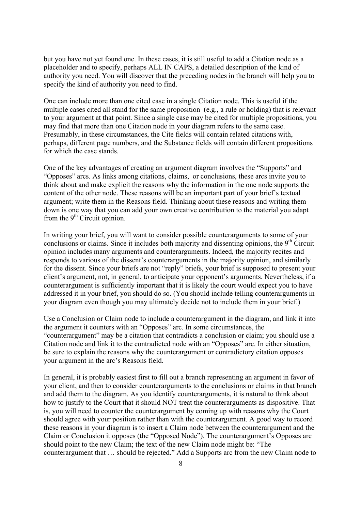but you have not yet found one. In these cases, it is still useful to add a Citation node as a placeholder and to specify, perhaps ALL IN CAPS, a detailed description of the kind of authority you need. You will discover that the preceding nodes in the branch will help you to specify the kind of authority you need to find.

One can include more than one cited case in a single Citation node. This is useful if the multiple cases cited all stand for the same proposition (e.g., a rule or holding) that is relevant to your argument at that point. Since a single case may be cited for multiple propositions, you may find that more than one Citation node in your diagram refers to the same case. Presumably, in these circumstances, the Cite fields will contain related citations with, perhaps, different page numbers, and the Substance fields will contain different propositions for which the case stands.

One of the key advantages of creating an argument diagram involves the "Supports" and "Opposes" arcs. As links among citations, claims, or conclusions, these arcs invite you to think about and make explicit the reasons why the information in the one node supports the content of the other node. These reasons will be an important part of your brief's textual argument; write them in the Reasons field. Thinking about these reasons and writing them down is one way that you can add your own creative contribution to the material you adapt from the  $9<sup>th</sup>$  Circuit opinion.

In writing your brief, you will want to consider possible counterarguments to some of your conclusions or claims. Since it includes both majority and dissenting opinions, the  $9<sup>th</sup>$  Circuit opinion includes many arguments and counterarguments. Indeed, the majority recites and responds to various of the dissent's counterarguments in the majority opinion, and similarly for the dissent. Since your briefs are not "reply" briefs, your brief is supposed to present your client's argument, not, in general, to anticipate your opponent's arguments. Nevertheless, if a counterargument is sufficiently important that it is likely the court would expect you to have addressed it in your brief, you should do so. (You should include telling counterarguments in your diagram even though you may ultimately decide not to include them in your brief.)

Use a Conclusion or Claim node to include a counterargument in the diagram, and link it into the argument it counters with an "Opposes" arc. In some circumstances, the "counterargument" may be a citation that contradicts a conclusion or claim; you should use a Citation node and link it to the contradicted node with an "Opposes" arc. In either situation, be sure to explain the reasons why the counterargument or contradictory citation opposes your argument in the arc's Reasons field.

In general, it is probably easiest first to fill out a branch representing an argument in favor of your client, and then to consider counterarguments to the conclusions or claims in that branch and add them to the diagram. As you identify counterarguments, it is natural to think about how to justify to the Court that it should NOT treat the counterarguments as dispositive. That is, you will need to counter the counterargument by coming up with reasons why the Court should agree with your position rather than with the counterargument. A good way to record these reasons in your diagram is to insert a Claim node between the counterargument and the Claim or Conclusion it opposes (the "Opposed Node"). The counterargument's Opposes arc should point to the new Claim; the text of the new Claim node might be: "The counterargument that … should be rejected." Add a Supports arc from the new Claim node to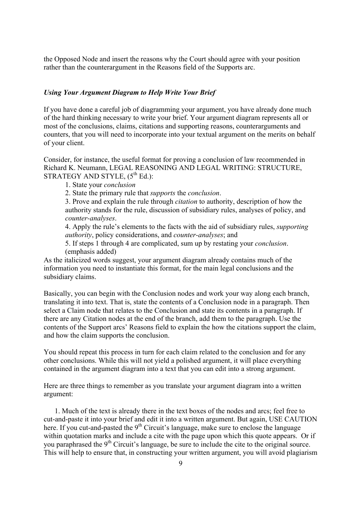the Opposed Node and insert the reasons why the Court should agree with your position rather than the counterargument in the Reasons field of the Supports arc.

### *Using Your Argument Diagram to Help Write Your Brief*

If you have done a careful job of diagramming your argument, you have already done much of the hard thinking necessary to write your brief. Your argument diagram represents all or most of the conclusions, claims, citations and supporting reasons, counterarguments and counters, that you will need to incorporate into your textual argument on the merits on behalf of your client.

Consider, for instance, the useful format for proving a conclusion of law recommended in Richard K. Neumann, LEGAL REASONING AND LEGAL WRITING: STRUCTURE, STRATEGY AND STYLE,  $(5^{th}$  Ed.):

- 1. State your *conclusion*
- 2. State the primary rule that *supports* the *conclusion*.

3. Prove and explain the rule through *citation* to authority, description of how the authority stands for the rule, discussion of subsidiary rules, analyses of policy, and *counter-analyses*.

4. Apply the rule's elements to the facts with the aid of subsidiary rules, *supporting authority*, policy considerations, and *counter-analyses*; and

5. If steps 1 through 4 are complicated, sum up by restating your *conclusion*. (emphasis added)

As the italicized words suggest, your argument diagram already contains much of the information you need to instantiate this format, for the main legal conclusions and the subsidiary claims.

Basically, you can begin with the Conclusion nodes and work your way along each branch, translating it into text. That is, state the contents of a Conclusion node in a paragraph. Then select a Claim node that relates to the Conclusion and state its contents in a paragraph. If there are any Citation nodes at the end of the branch, add them to the paragraph. Use the contents of the Support arcs' Reasons field to explain the how the citations support the claim, and how the claim supports the conclusion.

You should repeat this process in turn for each claim related to the conclusion and for any other conclusions. While this will not yield a polished argument, it will place everything contained in the argument diagram into a text that you can edit into a strong argument.

Here are three things to remember as you translate your argument diagram into a written argument:

1. Much of the text is already there in the text boxes of the nodes and arcs; feel free to cut-and-paste it into your brief and edit it into a written argument. But again, USE CAUTION here. If you cut-and-pasted the  $9<sup>th</sup>$  Circuit's language, make sure to enclose the language within quotation marks and include a cite with the page upon which this quote appears. Or if you paraphrased the 9<sup>th</sup> Circuit's language, be sure to include the cite to the original source. This will help to ensure that, in constructing your written argument, you will avoid plagiarism